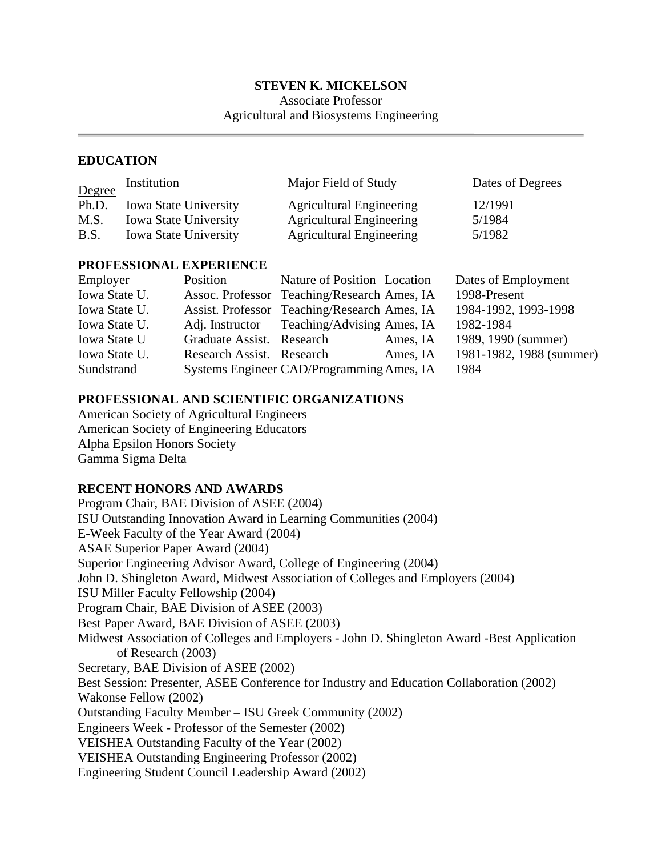## **STEVEN K. MICKELSON**

Associate Professor Agricultural and Biosystems Engineering

### **EDUCATION**

| Degree | <i><u><b>Institution</b></u></i> | <b>Major Field of Study</b>     | Dates of Degrees |  |
|--------|----------------------------------|---------------------------------|------------------|--|
| Ph.D.  | <b>Iowa State University</b>     | <b>Agricultural Engineering</b> | 12/1991          |  |
| M.S.   | <b>Iowa State University</b>     | <b>Agricultural Engineering</b> | 5/1984           |  |
| B.S.   | <b>Iowa State University</b>     | <b>Agricultural Engineering</b> | 5/1982           |  |

### **PROFESSIONAL EXPERIENCE**

| Employer            | Position                  | Nature of Position Location                  |          | Dates of Employment      |
|---------------------|---------------------------|----------------------------------------------|----------|--------------------------|
| Iowa State U.       |                           | Assoc. Professor Teaching/Research Ames, IA  |          | 1998-Present             |
| Iowa State U.       |                           | Assist. Professor Teaching/Research Ames, IA |          | 1984-1992, 1993-1998     |
| Iowa State U.       |                           | Adj. Instructor Teaching/Advising Ames, IA   |          | 1982-1984                |
| <b>Iowa State U</b> | Graduate Assist. Research |                                              | Ames, IA | 1989, 1990 (summer)      |
| Iowa State U.       | Research Assist. Research |                                              | Ames, IA | 1981-1982, 1988 (summer) |
| Sundstrand          |                           | Systems Engineer CAD/Programming Ames, IA    |          | 1984                     |

# **PROFESSIONAL AND SCIENTIFIC ORGANIZATIONS**

American Society of Agricultural Engineers American Society of Engineering Educators Alpha Epsilon Honors Society Gamma Sigma Delta

# **RECENT HONORS AND AWARDS**

Program Chair, BAE Division of ASEE (2004) ISU Outstanding Innovation Award in Learning Communities (2004) E-Week Faculty of the Year Award (2004) ASAE Superior Paper Award (2004) Superior Engineering Advisor Award, College of Engineering (2004) John D. Shingleton Award, Midwest Association of Colleges and Employers (2004) ISU Miller Faculty Fellowship (2004) Program Chair, BAE Division of ASEE (2003) Best Paper Award, BAE Division of ASEE (2003) Midwest Association of Colleges and Employers - John D. Shingleton Award -Best Application of Research (2003) Secretary, BAE Division of ASEE (2002) Best Session: Presenter, ASEE Conference for Industry and Education Collaboration (2002) Wakonse Fellow (2002) Outstanding Faculty Member – ISU Greek Community (2002) Engineers Week - Professor of the Semester (2002) VEISHEA Outstanding Faculty of the Year (2002) VEISHEA Outstanding Engineering Professor (2002) Engineering Student Council Leadership Award (2002)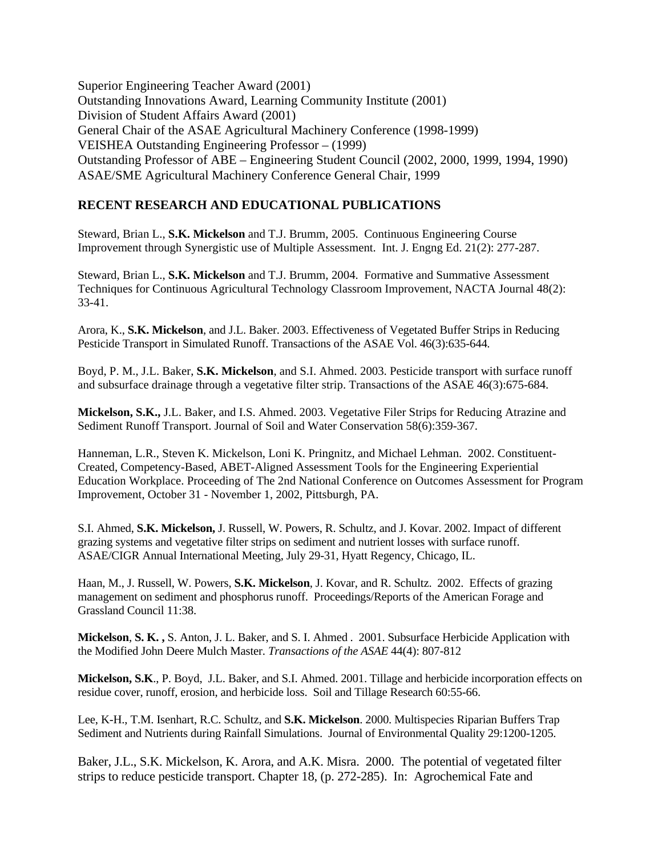Superior Engineering Teacher Award (2001) Outstanding Innovations Award, Learning Community Institute (2001) Division of Student Affairs Award (2001) General Chair of the ASAE Agricultural Machinery Conference (1998-1999) VEISHEA Outstanding Engineering Professor – (1999) Outstanding Professor of ABE – Engineering Student Council (2002, 2000, 1999, 1994, 1990) ASAE/SME Agricultural Machinery Conference General Chair, 1999

# **RECENT RESEARCH AND EDUCATIONAL PUBLICATIONS**

Steward, Brian L., **S.K. Mickelson** and T.J. Brumm, 2005. Continuous Engineering Course Improvement through Synergistic use of Multiple Assessment. Int. J. Engng Ed. 21(2): 277-287.

Steward, Brian L., **S.K. Mickelson** and T.J. Brumm, 2004. Formative and Summative Assessment Techniques for Continuous Agricultural Technology Classroom Improvement, NACTA Journal 48(2): 33-41.

Arora, K., **S.K. Mickelson**, and J.L. Baker. 2003. Effectiveness of Vegetated Buffer Strips in Reducing Pesticide Transport in Simulated Runoff. Transactions of the ASAE Vol. 46(3):635-644*.* 

Boyd, P. M., J.L. Baker, **S.K. Mickelson**, and S.I. Ahmed. 2003. Pesticide transport with surface runoff and subsurface drainage through a vegetative filter strip. Transactions of the ASAE 46(3):675-684.

**Mickelson, S.K.,** J.L. Baker, and I.S. Ahmed. 2003. Vegetative Filer Strips for Reducing Atrazine and Sediment Runoff Transport. Journal of Soil and Water Conservation 58(6):359-367.

Hanneman, L.R., Steven K. Mickelson, Loni K. Pringnitz, and Michael Lehman. 2002. Constituent-Created, Competency-Based, ABET-Aligned Assessment Tools for the Engineering Experiential Education Workplace. Proceeding of The 2nd National Conference on Outcomes Assessment for Program Improvement, October 31 - November 1, 2002, Pittsburgh, PA.

S.I. Ahmed, **S.K. Mickelson,** J. Russell, W. Powers, R. Schultz, and J. Kovar. 2002. Impact of different grazing systems and vegetative filter strips on sediment and nutrient losses with surface runoff. ASAE/CIGR Annual International Meeting, July 29-31, Hyatt Regency, Chicago, IL.

Haan, M., J. Russell, W. Powers, **S.K. Mickelson**, J. Kovar, and R. Schultz. 2002. Effects of grazing management on sediment and phosphorus runoff. Proceedings/Reports of the American Forage and Grassland Council 11:38.

**Mickelson**, **S. K. ,** S. Anton, J. L. Baker, and S. I. Ahmed . 2001. Subsurface Herbicide Application with the Modified John Deere Mulch Master. *Transactions of the ASAE* 44(4): 807-812

**Mickelson, S.K**., P. Boyd, J.L. Baker, and S.I. Ahmed. 2001. Tillage and herbicide incorporation effects on residue cover, runoff, erosion, and herbicide loss. Soil and Tillage Research 60:55-66.

Lee, K-H., T.M. Isenhart, R.C. Schultz, and **S.K. Mickelson**. 2000. Multispecies Riparian Buffers Trap Sediment and Nutrients during Rainfall Simulations. Journal of Environmental Quality 29:1200-1205.

Baker, J.L., S.K. Mickelson, K. Arora, and A.K. Misra. 2000. The potential of vegetated filter strips to reduce pesticide transport. Chapter 18, (p. 272-285). In: Agrochemical Fate and